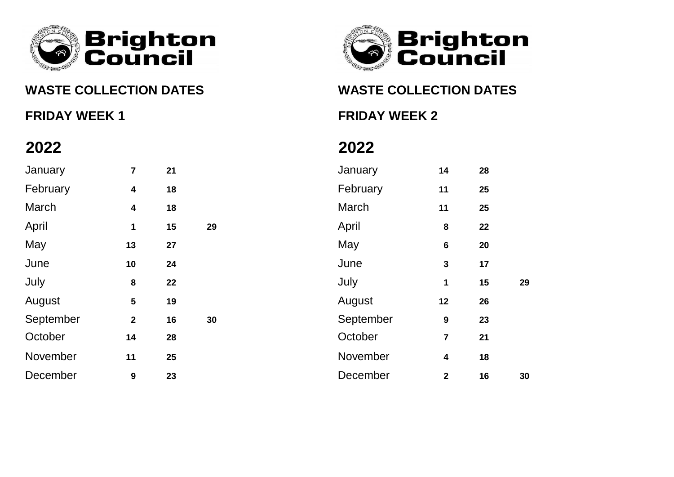



**WASTE COLLECTION DATES WASTE COLLECTION DATES**

**FRIDAY WEEK 1 FRIDAY WEEK 2**

| January   | 7                       | 21 |    | January   | 14               | 28 |    |
|-----------|-------------------------|----|----|-----------|------------------|----|----|
| February  | $\boldsymbol{4}$        | 18 |    | February  | 11               | 25 |    |
| March     | $\overline{\mathbf{4}}$ | 18 |    | March     | 11               | 25 |    |
| April     | 1                       | 15 | 29 | April     | 8                | 22 |    |
| May       | 13                      | 27 |    | May       | $6\phantom{1}$   | 20 |    |
| June      | 10                      | 24 |    | June      | $\mathbf{3}$     | 17 |    |
| July      | 8                       | 22 |    | July      | 1                | 15 | 29 |
| August    | $5\phantom{1}$          | 19 |    | August    | 12               | 26 |    |
| September | $\overline{2}$          | 16 | 30 | September | $\boldsymbol{9}$ | 23 |    |
| October   | 14                      | 28 |    | October   | $\overline{7}$   | 21 |    |
| November  | 11                      | 25 |    | November  | $\boldsymbol{4}$ | 18 |    |
| December  | $\boldsymbol{9}$        | 23 |    | December  | $\overline{2}$   | 16 | 30 |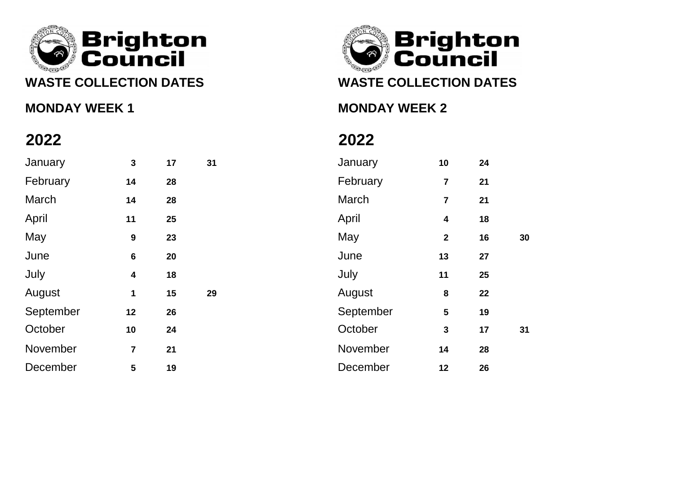

## **MONDAY WEEK 1 MONDAY WEEK 2**

# **Brighton**<br>● Council

# **WASTE COLLECTION DATES WASTE COLLECTION DATES**

| January   | $\mathbf{3}$     | 17 | 31 | January   | 10                      | 24 |    |
|-----------|------------------|----|----|-----------|-------------------------|----|----|
| February  | 14               | 28 |    | February  | $\overline{7}$          | 21 |    |
| March     | 14               | 28 |    | March     | $\overline{\mathbf{r}}$ | 21 |    |
| April     | 11               | 25 |    | April     | $\overline{\mathbf{4}}$ | 18 |    |
| May       | $\boldsymbol{9}$ | 23 |    | May       | $\mathbf{2}$            | 16 | 30 |
| June      | $\boldsymbol{6}$ | 20 |    | June      | 13                      | 27 |    |
| July      | 4                | 18 |    | July      | 11                      | 25 |    |
| August    | 1                | 15 | 29 | August    | $\bf 8$                 | 22 |    |
| September | 12               | 26 |    | September | $\overline{\mathbf{5}}$ | 19 |    |
| October   | 10               | 24 |    | October   | $\mathbf{3}$            | 17 | 31 |
| November  | $\overline{7}$   | 21 |    | November  | 14                      | 28 |    |
| December  | $5\phantom{.0}$  | 19 |    | December  | 12                      | 26 |    |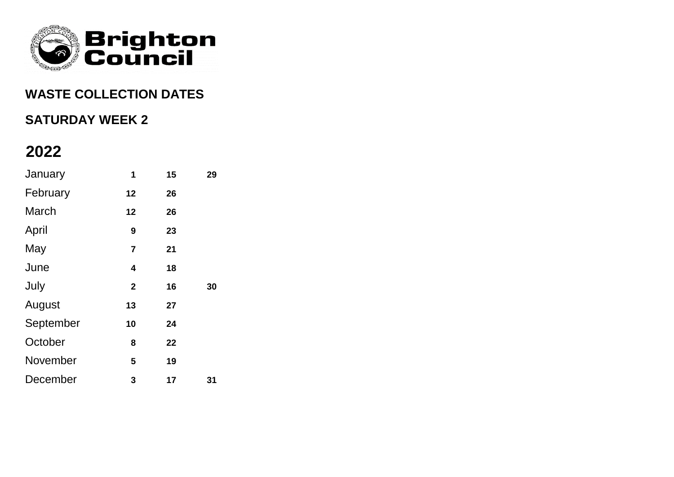

### **WASTE COLLECTION DATES**

### **SATURDAY WEEK 2**

| January   | 1              | 15 | 29 |
|-----------|----------------|----|----|
| February  | 12             | 26 |    |
| March     | 12             | 26 |    |
| April     | 9              | 23 |    |
| May       | $\overline{7}$ | 21 |    |
| June      | 4              | 18 |    |
| July      | $\overline{2}$ | 16 | 30 |
| August    | 13             | 27 |    |
| September | 10             | 24 |    |
| October   | 8              | 22 |    |
| November  | 5              | 19 |    |
| December  | 3              | 17 | 31 |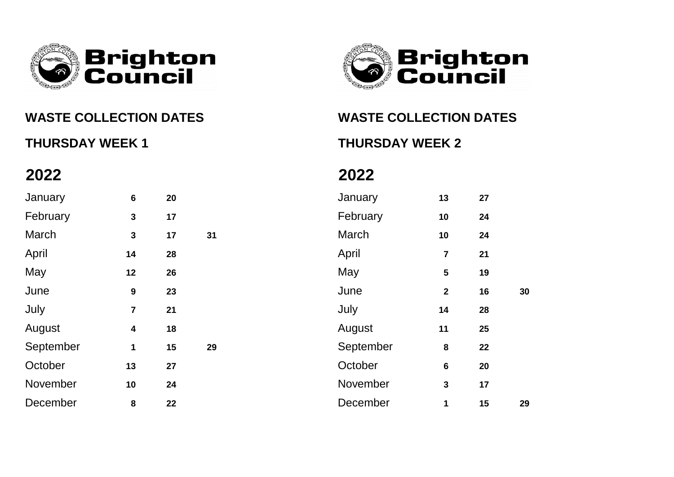



### **WASTE COLLECTION DATES WASTE COLLECTION DATES**

**THURSDAY WEEK 1 THURSDAY WEEK 2**

| January   | $\bf 6$                 | 20 |    | January   | 13                      | 27 |    |
|-----------|-------------------------|----|----|-----------|-------------------------|----|----|
| February  | 3                       | 17 |    | February  | 10                      | 24 |    |
| March     | 3                       | 17 | 31 | March     | 10                      | 24 |    |
| April     | 14                      | 28 |    | April     | $\overline{\mathbf{7}}$ | 21 |    |
| May       | 12                      | 26 |    | May       | 5                       | 19 |    |
| June      | $\boldsymbol{9}$        | 23 |    | June      | $\mathbf{2}$            | 16 | 30 |
| July      | $\overline{\mathbf{7}}$ | 21 |    | July      | 14                      | 28 |    |
| August    | $\boldsymbol{4}$        | 18 |    | August    | 11                      | 25 |    |
| September | $\mathbf 1$             | 15 | 29 | September | $\bf 8$                 | 22 |    |
| October   | 13                      | 27 |    | October   | $\bf 6$                 | 20 |    |
| November  | 10                      | 24 |    | November  | 3                       | 17 |    |
| December  | 8                       | 22 |    | December  | $\mathbf{1}$            | 15 | 29 |
|           |                         |    |    |           |                         |    |    |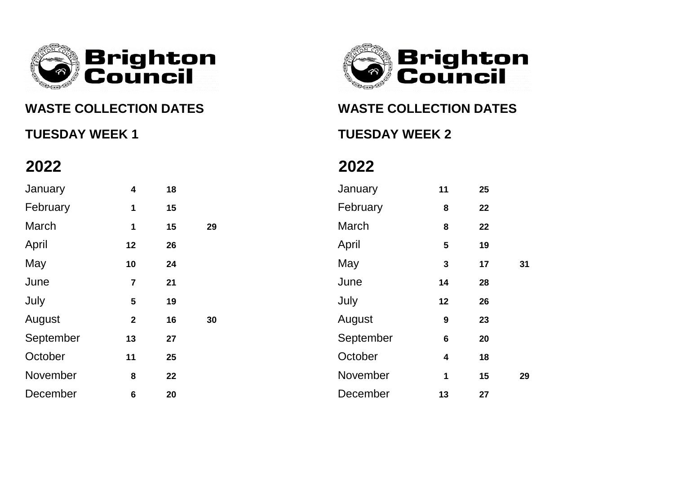

## **WASTE COLLECTION DATES WASTE COLLECTION DATES**

# **TUESDAY WEEK 1 TUESDAY WEEK 2**



| January   | $\overline{\mathbf{4}}$ | 18 |    | January   | 11                      | 25 |
|-----------|-------------------------|----|----|-----------|-------------------------|----|
| February  | $\mathbf 1$             | 15 |    | February  | $\bf{8}$                | 22 |
| March     | $\mathbf{1}$            | 15 | 29 | March     | 8                       | 22 |
| April     | 12                      | 26 |    | April     | 5                       | 19 |
| May       | 10                      | 24 |    | May       | $\mathbf{3}$            | 17 |
| June      | $\overline{7}$          | 21 |    | June      | 14                      | 28 |
| July      | $5\phantom{1}$          | 19 |    | July      | 12                      | 26 |
| August    | $\overline{2}$          | 16 | 30 | August    | $\boldsymbol{9}$        | 23 |
| September | 13                      | 27 |    | September | $6\phantom{1}$          | 20 |
| October   | 11                      | 25 |    | October   | $\overline{\mathbf{4}}$ | 18 |
| November  | 8                       | 22 |    | November  | $\mathbf{1}$            | 15 |
| December  | $6\phantom{a}$          | 20 |    | December  | 13                      | 27 |

| January   | $\overline{\mathbf{4}}$ | 18 |    | January   | 11               | 25 |    |
|-----------|-------------------------|----|----|-----------|------------------|----|----|
| February  | 1                       | 15 |    | February  | $\bf 8$          | 22 |    |
| March     | 1                       | 15 | 29 | March     | $\bf 8$          | 22 |    |
| April     | 12                      | 26 |    | April     | 5                | 19 |    |
| May       | 10                      | 24 |    | May       | $\mathbf{3}$     | 17 | 31 |
| June      | $\overline{\mathbf{7}}$ | 21 |    | June      | 14               | 28 |    |
| July      | $5\phantom{1}$          | 19 |    | July      | 12               | 26 |    |
| August    | $\mathbf{2}$            | 16 | 30 | August    | $\boldsymbol{9}$ | 23 |    |
| September | 13                      | 27 |    | September | $\bf 6$          | 20 |    |
| October   | 11                      | 25 |    | October   | $\boldsymbol{4}$ | 18 |    |
| November  | 8                       | 22 |    | November  | 1                | 15 | 29 |
| December  | $6\phantom{1}6$         | 20 |    | December  | 13               | 27 |    |
|           |                         |    |    |           |                  |    |    |